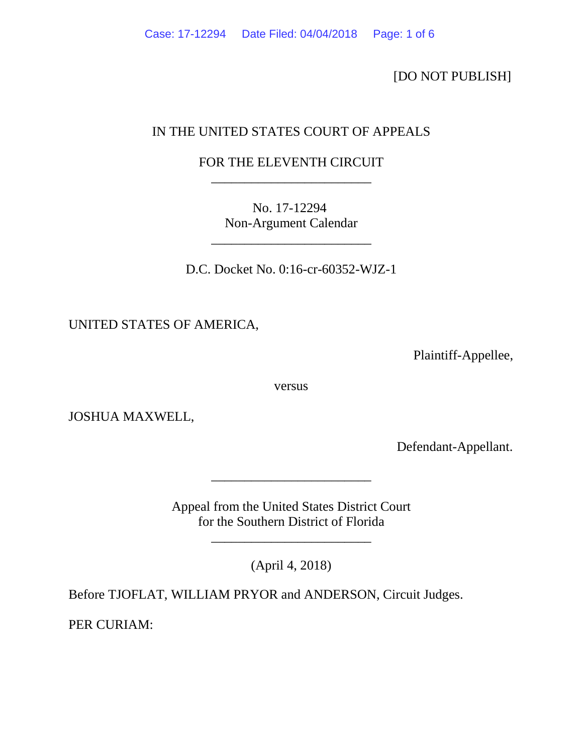[DO NOT PUBLISH]

## IN THE UNITED STATES COURT OF APPEALS

## FOR THE ELEVENTH CIRCUIT \_\_\_\_\_\_\_\_\_\_\_\_\_\_\_\_\_\_\_\_\_\_\_\_

No. 17-12294 Non-Argument Calendar

\_\_\_\_\_\_\_\_\_\_\_\_\_\_\_\_\_\_\_\_\_\_\_\_

D.C. Docket No. 0:16-cr-60352-WJZ-1

UNITED STATES OF AMERICA,

Plaintiff-Appellee,

versus

JOSHUA MAXWELL,

Defendant-Appellant.

Appeal from the United States District Court for the Southern District of Florida

\_\_\_\_\_\_\_\_\_\_\_\_\_\_\_\_\_\_\_\_\_\_\_\_

\_\_\_\_\_\_\_\_\_\_\_\_\_\_\_\_\_\_\_\_\_\_\_\_

(April 4, 2018)

Before TJOFLAT, WILLIAM PRYOR and ANDERSON, Circuit Judges.

PER CURIAM: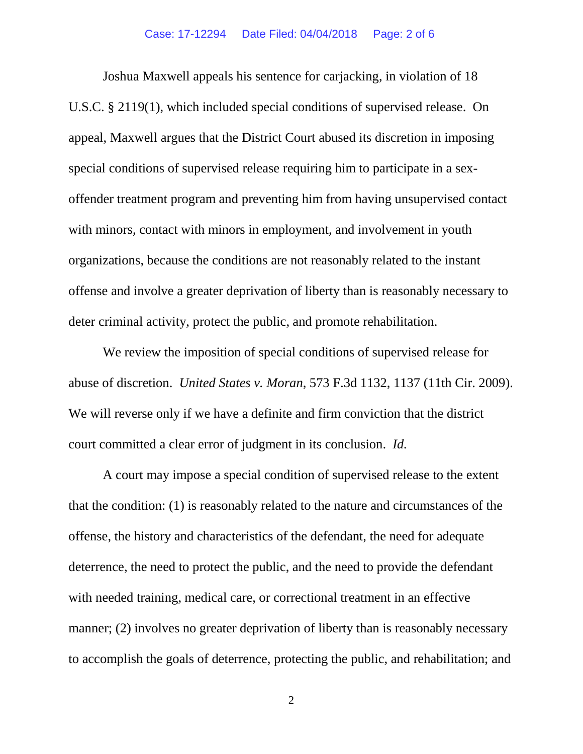Joshua Maxwell appeals his sentence for carjacking, in violation of 18 U.S.C. § 2119(1), which included special conditions of supervised release. On appeal, Maxwell argues that the District Court abused its discretion in imposing special conditions of supervised release requiring him to participate in a sexoffender treatment program and preventing him from having unsupervised contact with minors, contact with minors in employment, and involvement in youth organizations, because the conditions are not reasonably related to the instant offense and involve a greater deprivation of liberty than is reasonably necessary to deter criminal activity, protect the public, and promote rehabilitation.

We review the imposition of special conditions of supervised release for abuse of discretion. *United States v. Moran*, 573 F.3d 1132, 1137 (11th Cir. 2009). We will reverse only if we have a definite and firm conviction that the district court committed a clear error of judgment in its conclusion. *Id.*

A court may impose a special condition of supervised release to the extent that the condition: (1) is reasonably related to the nature and circumstances of the offense, the history and characteristics of the defendant, the need for adequate deterrence, the need to protect the public, and the need to provide the defendant with needed training, medical care, or correctional treatment in an effective manner; (2) involves no greater deprivation of liberty than is reasonably necessary to accomplish the goals of deterrence, protecting the public, and rehabilitation; and

2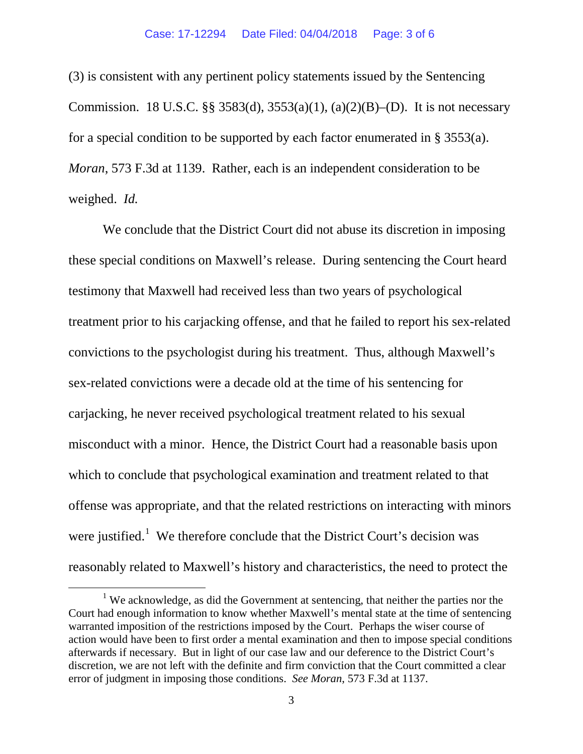(3) is consistent with any pertinent policy statements issued by the Sentencing Commission. 18 U.S.C. §§ 3583(d), 3553(a)(1), (a)(2)(B)–(D). It is not necessary for a special condition to be supported by each factor enumerated in § 3553(a). *Moran*, 573 F.3d at 1139. Rather, each is an independent consideration to be weighed. *Id.*

We conclude that the District Court did not abuse its discretion in imposing these special conditions on Maxwell's release. During sentencing the Court heard testimony that Maxwell had received less than two years of psychological treatment prior to his carjacking offense, and that he failed to report his sex-related convictions to the psychologist during his treatment. Thus, although Maxwell's sex-related convictions were a decade old at the time of his sentencing for carjacking, he never received psychological treatment related to his sexual misconduct with a minor. Hence, the District Court had a reasonable basis upon which to conclude that psychological examination and treatment related to that offense was appropriate, and that the related restrictions on interacting with minors were justified.<sup>[1](#page-2-0)</sup> We therefore conclude that the District Court's decision was reasonably related to Maxwell's history and characteristics, the need to protect the

<span id="page-2-0"></span> $1$  We acknowledge, as did the Government at sentencing, that neither the parties nor the Court had enough information to know whether Maxwell's mental state at the time of sentencing warranted imposition of the restrictions imposed by the Court. Perhaps the wiser course of action would have been to first order a mental examination and then to impose special conditions afterwards if necessary. But in light of our case law and our deference to the District Court's discretion, we are not left with the definite and firm conviction that the Court committed a clear error of judgment in imposing those conditions. *See Moran*, 573 F.3d at 1137.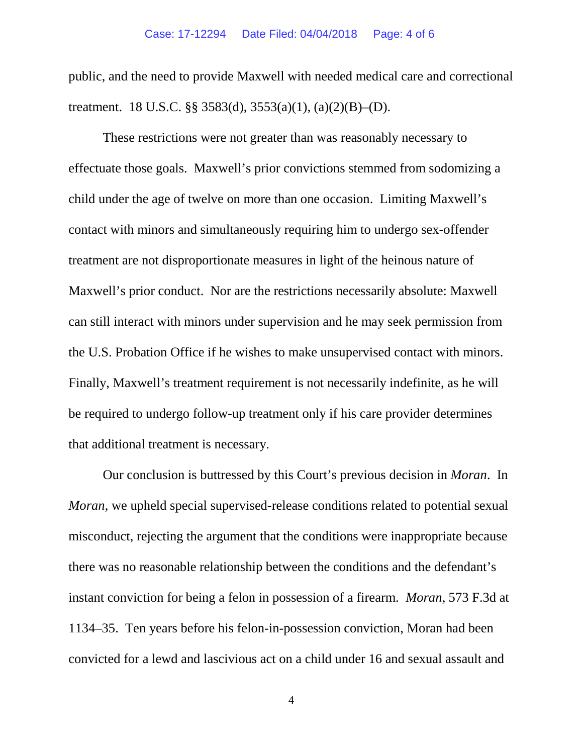public, and the need to provide Maxwell with needed medical care and correctional treatment. 18 U.S.C. §§ 3583(d), 3553(a)(1), (a)(2)(B)–(D).

These restrictions were not greater than was reasonably necessary to effectuate those goals. Maxwell's prior convictions stemmed from sodomizing a child under the age of twelve on more than one occasion. Limiting Maxwell's contact with minors and simultaneously requiring him to undergo sex-offender treatment are not disproportionate measures in light of the heinous nature of Maxwell's prior conduct. Nor are the restrictions necessarily absolute: Maxwell can still interact with minors under supervision and he may seek permission from the U.S. Probation Office if he wishes to make unsupervised contact with minors. Finally, Maxwell's treatment requirement is not necessarily indefinite, as he will be required to undergo follow-up treatment only if his care provider determines that additional treatment is necessary.

Our conclusion is buttressed by this Court's previous decision in *Moran*. In *Moran*, we upheld special supervised-release conditions related to potential sexual misconduct, rejecting the argument that the conditions were inappropriate because there was no reasonable relationship between the conditions and the defendant's instant conviction for being a felon in possession of a firearm. *Moran*, 573 F.3d at 1134–35. Ten years before his felon-in-possession conviction, Moran had been convicted for a lewd and lascivious act on a child under 16 and sexual assault and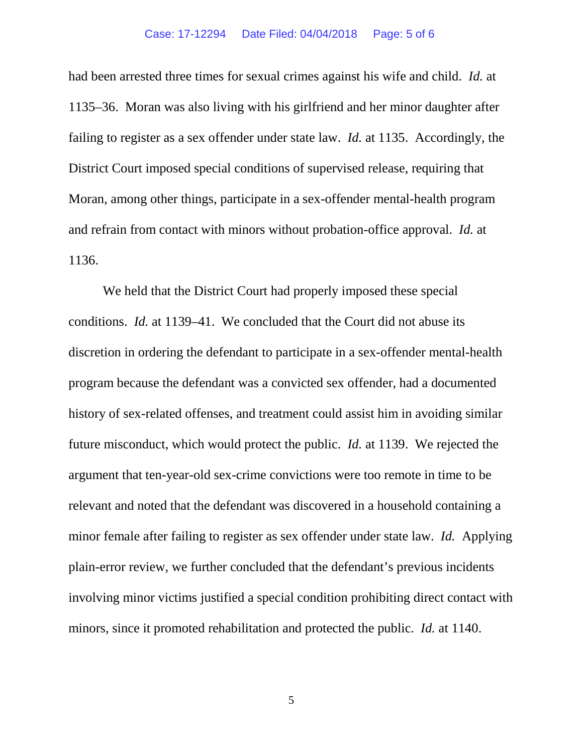had been arrested three times for sexual crimes against his wife and child. *Id.* at 1135–36. Moran was also living with his girlfriend and her minor daughter after failing to register as a sex offender under state law. *Id.* at 1135. Accordingly, the District Court imposed special conditions of supervised release, requiring that Moran, among other things, participate in a sex-offender mental-health program and refrain from contact with minors without probation-office approval. *Id.* at 1136.

We held that the District Court had properly imposed these special conditions. *Id.* at 1139–41. We concluded that the Court did not abuse its discretion in ordering the defendant to participate in a sex-offender mental-health program because the defendant was a convicted sex offender, had a documented history of sex-related offenses, and treatment could assist him in avoiding similar future misconduct, which would protect the public. *Id.* at 1139. We rejected the argument that ten-year-old sex-crime convictions were too remote in time to be relevant and noted that the defendant was discovered in a household containing a minor female after failing to register as sex offender under state law. *Id.* Applying plain-error review, we further concluded that the defendant's previous incidents involving minor victims justified a special condition prohibiting direct contact with minors, since it promoted rehabilitation and protected the public. *Id.* at 1140.